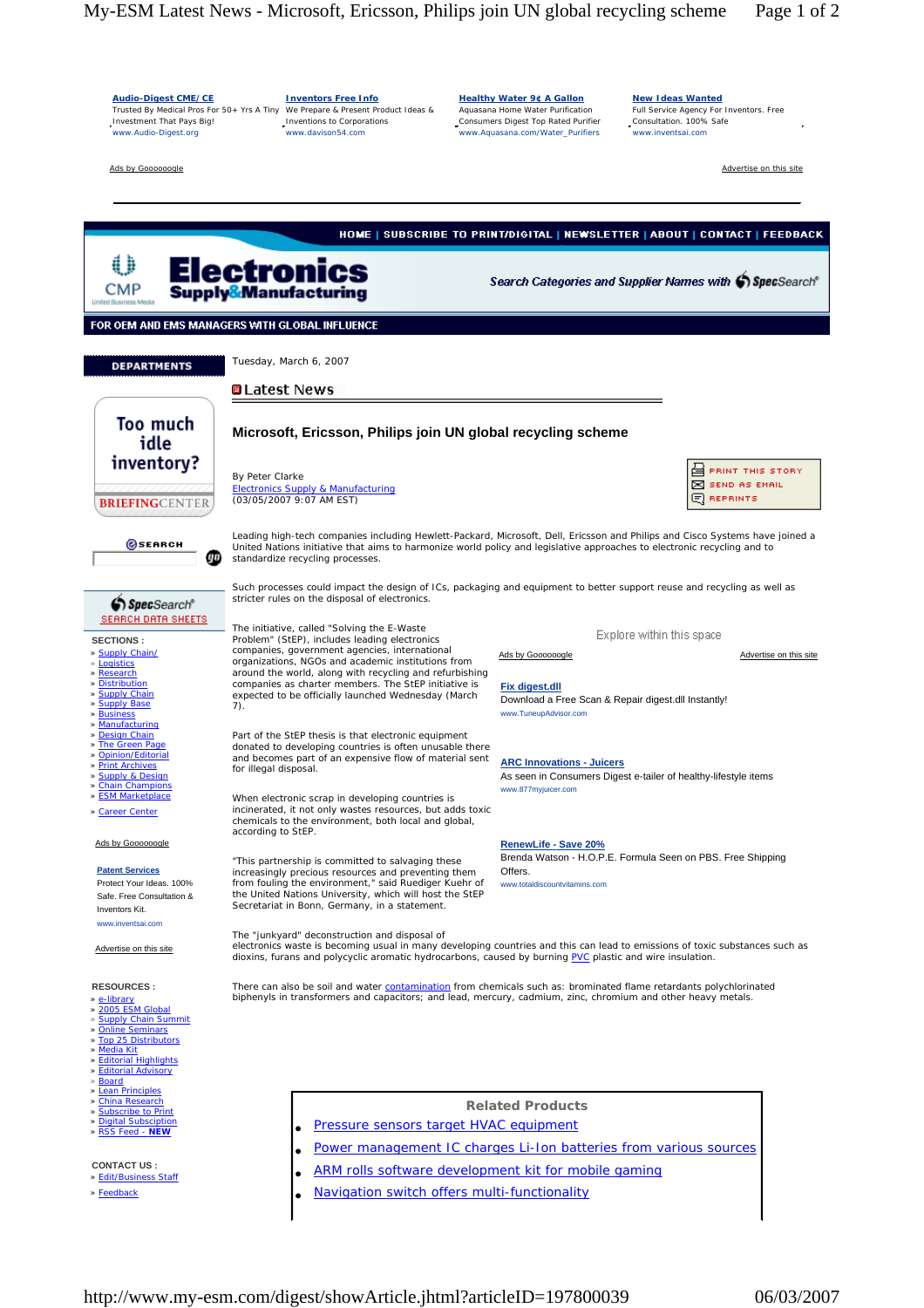